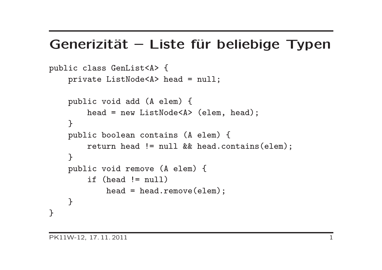#### Generizität – Liste für beliebige Typen

```
public class GenList<A> {
    private ListNode<A> head = null;
    public void add (A elem) {
        head = new ListNode<A> (elem, head);
    }
    public boolean contains (A elem) {
        return head != null && head.contains(elem);
    }
    public void remove (A elem) {
        if (head != null)
            head = head.remove(elem);
    }
}
```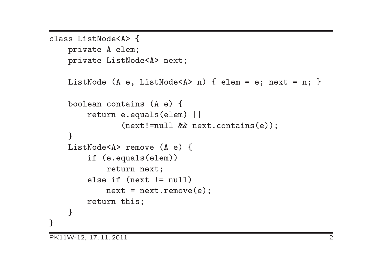```
class ListNode<A> {
    private A elem;
    private ListNode<A> next;
    ListNode (A e, ListNode<A> n) { elem = e; next = n; }
    boolean contains (A e) {
        return e.equals(elem) ||
               (next!=null && next.contains(e));
    \mathcal{F}ListNode<A> remove (A e) {
        if (e.equals(elem))
            return next;
        else if (next != null)
            next = next.remove(e);return this;
    }
}
```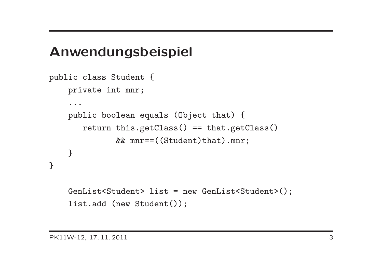#### Anwendungsbeispiel

```
public class Student {
    private int mnr;
    ...
    public boolean equals (Object that) {
       return this.getClass() == that.getClass()
              && mnr==((Student)that).mnr;
    }
}
    GenList<Student> list = new GenList<Student>();
```

```
list.add (new Student());
```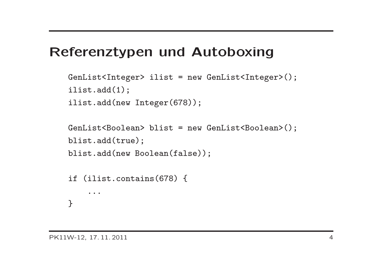#### Referenztypen und Autoboxing

```
GenList<Integer> ilist = new GenList<Integer>();
ilist.add(1);
ilist.add(new Integer(678));
```

```
GenList<Boolean> blist = new GenList<Boolean>();
blist.add(true);
blist.add(new Boolean(false));
```

```
if (ilist.contains(678) {
    ...
}
```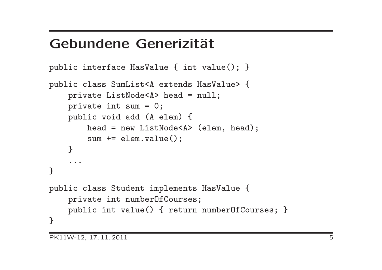#### Gebundene Generizität

```
public interface HasValue { int value(); }
public class SumList<A extends HasValue> {
    private ListNode<A> head = null;
    private int sum = 0;
    public void add (A elem) {
        head = new ListNode<A> (elem, head);
        sum += elem.value();
    }
    ...
}
public class Student implements HasValue {
    private int numberOfCourses;
    public int value() { return numberOfCourses; }
}
```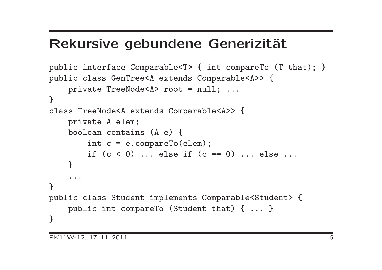#### Rekursive gebundene Generizität

```
public interface Comparable<T> { int compareTo (T that); }
public class GenTree<A extends Comparable<A>> {
    private TreeNode<A> root = null; ...
}
class TreeNode<A extends Comparable<A>> {
    private A elem;
    boolean contains (A e) {
        int c = e.compareTo(elem);
        if (c < 0) ... else if (c == 0) ... else ...
    \mathcal{L}...
}
public class Student implements Comparable<Student> {
    public int compareTo (Student that) { ... }
}
```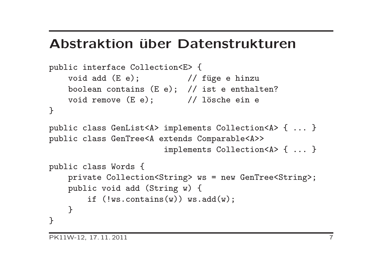#### Abstraktion über Datenstrukturen

```
public interface Collection<E> {
    void add (E e); \frac{1}{\sqrt{2}} füge e hinzu
    boolean contains (E e); // ist e enthalten?
   void remove (E e); // lösche ein e
}
public class GenList<A> implements Collection<A> { ... }
public class GenTree<A extends Comparable<A>>
                        implements Collection<A> { ... }
public class Words {
    private Collection<String> ws = new GenTree<String>;
    public void add (String w) {
        if (!ws.contrib(w)) ws.add(w);}
}
```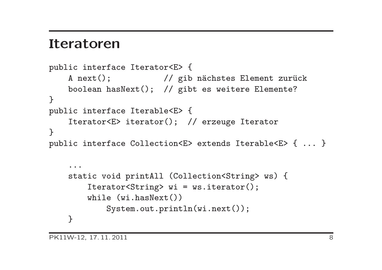#### Iteratoren

```
public interface Iterator<E> {
    A next(); \frac{1}{\sqrt{2}} gib nächstes Element zurück
    boolean hasNext(); // gibt es weitere Elemente?
}
public interface Iterable<E> {
    Iterator<E> iterator(); // erzeuge Iterator
}
public interface Collection<E> extends Iterable<E> { ... }
    ...
    static void printAll (Collection<String> ws) {
        Iterator<String> wi = ws.iterator();
        while (wi.hasNext())
            System.out.println(wi.next());
```
}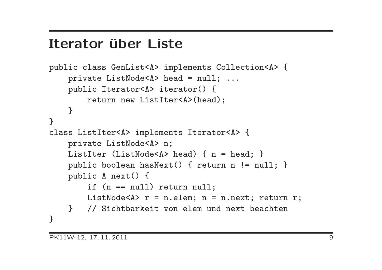#### Iterator über Liste

```
public class GenList<A> implements Collection<A> {
    private ListNode<A> head = null; ...
    public Iterator<A> iterator() {
        return new ListIter<A>(head);
    }
}
class ListIter<A> implements Iterator<A> {
    private ListNode<A> n;
    ListIter (ListNode<A> head) { n = head; }
    public boolean hasNext() { return n != null; }
    public A next() {
        if (n == null) return null;
        ListNode<A> r = n.elem; n = n.next; return r;
    } // Sichtbarkeit von elem und next beachten
}
```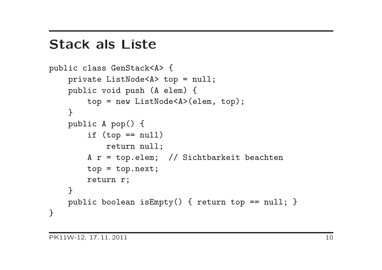#### Stack als Liste

```
public class GenStack<A> {
    private ListNode<A> top = null;
    public void push (A elem) {
        top = new ListNode<A>(elem, top);
    }
    public A pop() {
        if (top == null)return null;
        A r = top.elem; // Sichtbarkeit beachten
        top = top.next;
        return r;
    }
    public boolean isEmpty() { return top == null; }
}
```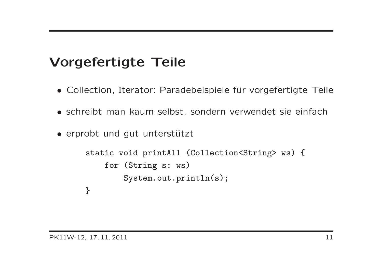## Vorgefertigte Teile

- Collection, Iterator: Paradebeispiele für vorgefertigte Teile
- schreibt man kaum selbst, sondern verwendet sie einfach
- erprobt und gut unterstützt

```
static void printAll (Collection<String> ws) {
    for (String s: ws)
        System.out.println(s);
}
```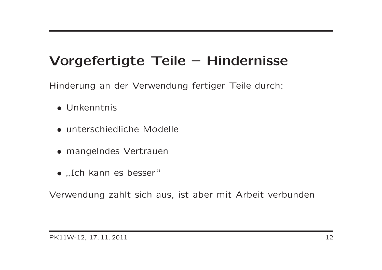### Vorgefertigte Teile – Hindernisse

Hinderung an der Verwendung fertiger Teile durch:

- Unkenntnis
- unterschiedliche Modelle
- mangelndes Vertrauen
- "Ich kann es besser"

Verwendung zahlt sich aus, ist aber mit Arbeit verbunden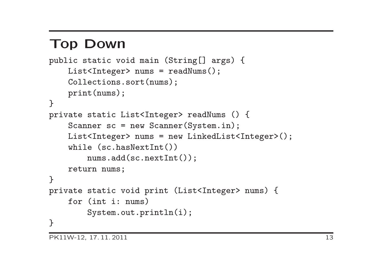## Top Down

```
public static void main (String[] args) {
    List<Integer> nums = readNums();
    Collections.sort(nums);
    print(nums);
}
private static List<Integer> readNums () {
    Scanner sc = new Scanner(System.in);
    List<Integer> nums = new LinkedList<Integer>();
    while (sc.hasNextInt())
        nums.add(sc.nextInt());
    return nums;
}
private static void print (List<Integer> nums) {
    for (int i: nums)
        System.out.println(i);
}
```